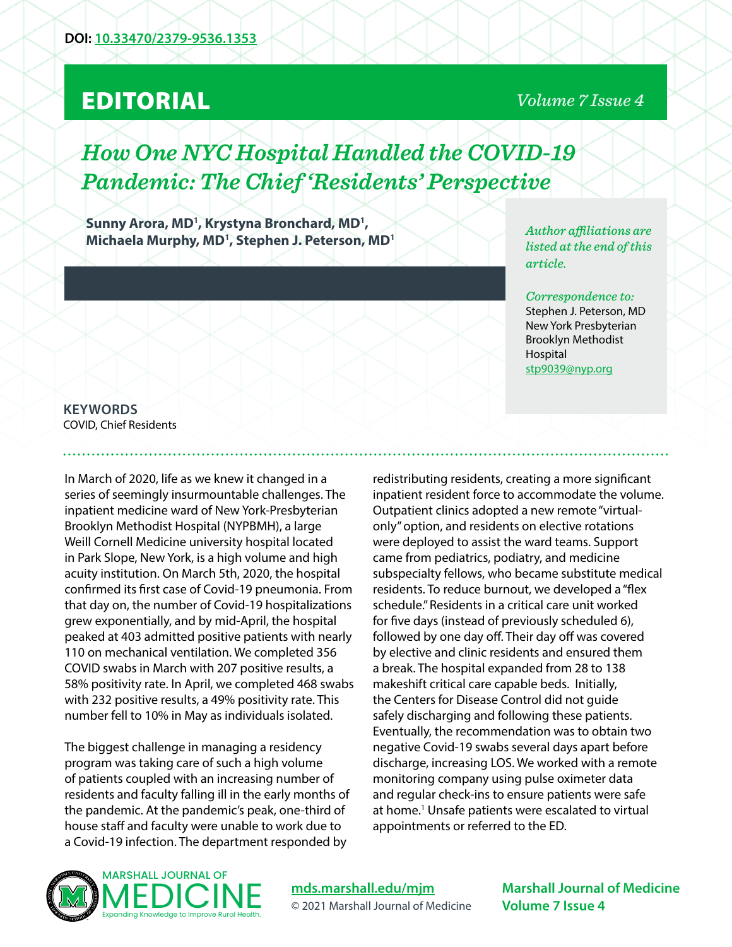## EDITORIAL

### *Volume 7 Issue 4*

# *How One NYC Hospital Handled the COVID-19 Pandemic: The Chief 'Residents' Perspective*

Sunny Arora, MD<sup>1</sup>, Krystyna Bronchard, MD<sup>1</sup>, **Michaela Murphy, MD1 , Stephen J. Peterson, MD1**

*Author affiliations are listed at the end of this article.* 

*Correspondence to:*  Stephen J. Peterson, MD New York Presbyterian Brooklyn Methodist Hospital [stp9039@nyp.org](mailto:stp9039%40nyp.org?subject=)

**KEYWORDS** COVID, Chief Residents

In March of 2020, life as we knew it changed in a series of seemingly insurmountable challenges. The inpatient medicine ward of New York-Presbyterian Brooklyn Methodist Hospital (NYPBMH), a large Weill Cornell Medicine university hospital located in Park Slope, New York, is a high volume and high acuity institution. On March 5th, 2020, the hospital confirmed its first case of Covid-19 pneumonia. From that day on, the number of Covid-19 hospitalizations grew exponentially, and by mid-April, the hospital peaked at 403 admitted positive patients with nearly 110 on mechanical ventilation. We completed 356 COVID swabs in March with 207 positive results, a 58% positivity rate. In April, we completed 468 swabs with 232 positive results, a 49% positivity rate. This number fell to 10% in May as individuals isolated.

The biggest challenge in managing a residency program was taking care of such a high volume of patients coupled with an increasing number of residents and faculty falling ill in the early months of the pandemic. At the pandemic's peak, one-third of house staff and faculty were unable to work due to a Covid-19 infection. The department responded by

redistributing residents, creating a more significant inpatient resident force to accommodate the volume. Outpatient clinics adopted a new remote "virtualonly" option, and residents on elective rotations were deployed to assist the ward teams. Support came from pediatrics, podiatry, and medicine subspecialty fellows, who became substitute medical residents. To reduce burnout, we developed a "flex schedule." Residents in a critical care unit worked for five days (instead of previously scheduled 6), followed by one day off. Their day off was covered by elective and clinic residents and ensured them a break. The hospital expanded from 28 to 138 makeshift critical care capable beds. Initially, the Centers for Disease Control did not guide safely discharging and following these patients. Eventually, the recommendation was to obtain two negative Covid-19 swabs several days apart before discharge, increasing LOS. We worked with a remote monitoring company using pulse oximeter data and regular check-ins to ensure patients were safe at home.<sup>1</sup> Unsafe patients were escalated to virtual appointments or referred to the ED.



**[mds.marshall.edu/mjm](https://mds.marshall.edu/mjm/)** © 2021 Marshall Journal of Medicine

**Marshall Journal of Medicine Volume 7 Issue 4**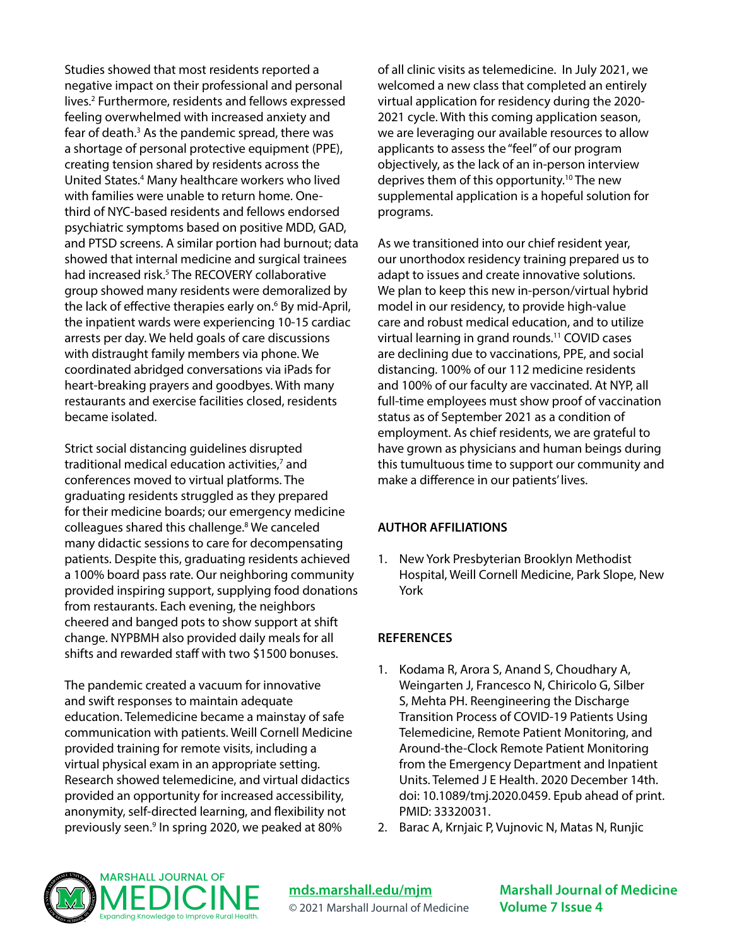Studies showed that most residents reported a negative impact on their professional and personal lives.2 Furthermore, residents and fellows expressed feeling overwhelmed with increased anxiety and fear of death.<sup>3</sup> As the pandemic spread, there was a shortage of personal protective equipment (PPE), creating tension shared by residents across the United States.4 Many healthcare workers who lived with families were unable to return home. Onethird of NYC-based residents and fellows endorsed psychiatric symptoms based on positive MDD, GAD, and PTSD screens. A similar portion had burnout; data showed that internal medicine and surgical trainees had increased risk.<sup>5</sup> The RECOVERY collaborative group showed many residents were demoralized by the lack of effective therapies early on.<sup>6</sup> By mid-April, the inpatient wards were experiencing 10-15 cardiac arrests per day. We held goals of care discussions with distraught family members via phone. We coordinated abridged conversations via iPads for heart-breaking prayers and goodbyes. With many restaurants and exercise facilities closed, residents became isolated.

Strict social distancing guidelines disrupted traditional medical education activities,<sup>7</sup> and conferences moved to virtual platforms. The graduating residents struggled as they prepared for their medicine boards; our emergency medicine colleagues shared this challenge.<sup>8</sup> We canceled many didactic sessions to care for decompensating patients. Despite this, graduating residents achieved a 100% board pass rate. Our neighboring community provided inspiring support, supplying food donations from restaurants. Each evening, the neighbors cheered and banged pots to show support at shift change. NYPBMH also provided daily meals for all shifts and rewarded staff with two \$1500 bonuses.

The pandemic created a vacuum for innovative and swift responses to maintain adequate education. Telemedicine became a mainstay of safe communication with patients. Weill Cornell Medicine provided training for remote visits, including a virtual physical exam in an appropriate setting. Research showed telemedicine, and virtual didactics provided an opportunity for increased accessibility, anonymity, self-directed learning, and flexibility not previously seen.<sup>9</sup> In spring 2020, we peaked at 80%

of all clinic visits as telemedicine. In July 2021, we welcomed a new class that completed an entirely virtual application for residency during the 2020- 2021 cycle. With this coming application season, we are leveraging our available resources to allow applicants to assess the "feel" of our program objectively, as the lack of an in-person interview deprives them of this opportunity.<sup>10</sup> The new supplemental application is a hopeful solution for programs.

As we transitioned into our chief resident year, our unorthodox residency training prepared us to adapt to issues and create innovative solutions. We plan to keep this new in-person/virtual hybrid model in our residency, to provide high-value care and robust medical education, and to utilize virtual learning in grand rounds.11 COVID cases are declining due to vaccinations, PPE, and social distancing. 100% of our 112 medicine residents and 100% of our faculty are vaccinated. At NYP, all full-time employees must show proof of vaccination status as of September 2021 as a condition of employment. As chief residents, we are grateful to have grown as physicians and human beings during this tumultuous time to support our community and make a difference in our patients' lives.

### **AUTHOR AFFILIATIONS**

1. New York Presbyterian Brooklyn Methodist Hospital, Weill Cornell Medicine, Park Slope, New York

### **REFERENCES**

- 1. Kodama R, Arora S, Anand S, Choudhary A, Weingarten J, Francesco N, Chiricolo G, Silber S, Mehta PH. Reengineering the Discharge Transition Process of COVID-19 Patients Using Telemedicine, Remote Patient Monitoring, and Around-the-Clock Remote Patient Monitoring from the Emergency Department and Inpatient Units. Telemed J E Health. 2020 December 14th. doi: 10.1089/tmj.2020.0459. Epub ahead of print. PMID: 33320031.
- 2. Barac A, Krnjaic P, Vujnovic N, Matas N, Runjic



**[mds.marshall.edu/mjm](https://mds.marshall.edu/mjm/)** © 2021 Marshall Journal of Medicine **Marshall Journal of Medicine Volume 7 Issue 4**